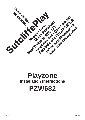

# **Playzone Installation Instructions PZW682**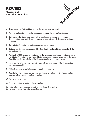#### **PZW682 Playzone Unit Installation Instructions**



- 1 Check using the Parts List that none of the components are missing.
- 2 Plan the final position of the play equipment ensuring there is sufficient space.
- 3 Stainless steel slides should face north or be shaded to prevent over heating. Slide runouts should be inclined downwards by approximately 2 degrees for drainage purposes.
- 4 Excavate the foundation holes in accordance with the plan.
- 5 Sort and identify parts before assembly. Each leg is numbered to correspond with the foundation plan.
- 6 Position 2 off 300 long spragging irons into the holes provided in each post upright and stand in the foundation holes. Assemble the decks at the positions marked on the posts. Do not tighten the fixing bolts until all the activities have been assembled.
- 7 Assemble the activities onto the posts. Leave fixing bolts loose until all the activities have been assembled.
- 8 Fill the foundation holes to the required depth with concrete.
- 9 Do not allow the equipment to be used until the concrete has set (2 3 days) and the required safety surfacing has been installed.
- 10 Tighten all fixing bolts.
- 11 Follow the maintenance instructions supplied.

During installation care must be taken to prevent hazards to children. Care should be taken if conditions are abnormal.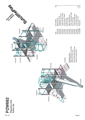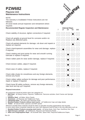## **PZW682**

#### **Playzone Unit Maintenance Instructions**

**NOTE** 

The warranty is invalidated if these instructions are not followed.

All wood needs annual inspection and retreatment where required.

#### **Recommended Regular Inspection and Maintenance**

#### **Disposal Instructions**

All components should be broken down into categories of:-

- 1 **Mild Steel** all Swing Frames, Playzone, Toddlerzone, Teenzone activities, Deck Frames and Springie Frames.
- 2 **Stainless Steel** all Slides, Mirror Panels.
- 3 **Aluminium** all Playzone and Toddlerzone Posts.
- 4 **Galvanised Steel** all Chains and Teenzone Posts.
- 5 **Moulded Rubber Products without steel inserts** all Toddlerzone Caps and edge details.
- 6 **Timber** all natural timber, plywood, and MDF panels.

Wherever possible these materials should be taken to specialist recycling organisations and recycled. In some cases where composite materials are used, then disposal at land fill sites is the only alternative such as:

- 7 **Moulded Rubber Products encasing steel inserts** all Swing Seats, Deck Tops, Duo/Dizzy Disc Tops.
- 8 **High Pressure Laminate** all Toddlerzone, Playzone and Teenzone Panels.
- 9 **Steel Core Polypropylene Rope** all Scramble Nets, Space Nets, Playzone/Toddlerzone Ropes.



| regulied.                                                                                            |                |    |                            |    |     |
|------------------------------------------------------------------------------------------------------|----------------|----|----------------------------|----|-----|
| <b>Recommended Regular Inspection and Maintenance</b>                                                | $\overline{7}$ | 14 | <b>Interval Days</b><br>28 | 56 | 365 |
| Check stability of structure, tighten connections if required.                                       |                |    |                            |    |     |
| Check all uprights at ground level for corrosion and/or rot.<br>Replace any defective parts.         |                |    |                            |    |     |
| Check all painted elements for damage, rub down and repaint or<br>replace as required.               |                |    |                            |    |     |
| Check chain/ropework assemblies for wear and damage, replace<br>if required.                         |                |    |                            |    |     |
| Check rotating and pivot points for wear and smooth running<br>lubricate or replace if required.     |                |    |                            |    |     |
| Check rubber parts for wear and/or damage, replace if required.                                      |                |    |                            |    |     |
| Check tension cables, adjust if required.                                                            |                |    |                            |    |     |
| Check wear of cables, replace if required.                                                           |                |    |                            |    |     |
| Check slide chutes for smoothness and any foreign elements,<br>remove any found.                     |                |    |                            |    |     |
| Check rubber safety surfaces for damage and poor performance,<br>repair or replace if required.      |                |    |                            |    |     |
| Check loose fill safety surfaces, remove any foreign elements,<br>rake level and top up if required. |                |    |                            |    |     |